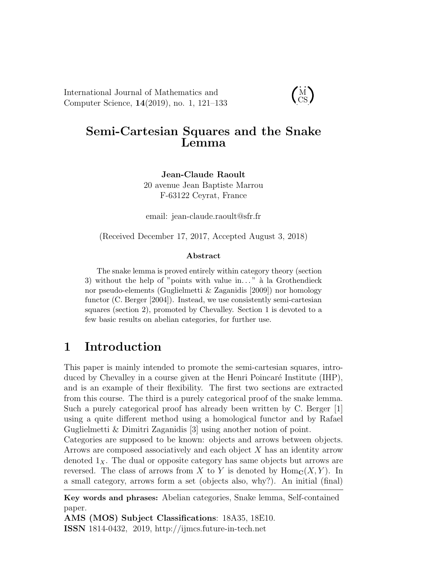International Journal of Mathematics and Computer Science, 14(2019), no. 1, 121–133

### $\dot{M}$ CS

## Semi-Cartesian Squares and the Snake Lemma

Jean-Claude Raoult 20 avenue Jean Baptiste Marrou F-63122 Ceyrat, France

email: jean-claude.raoult@sfr.fr

(Received December 17, 2017, Accepted August 3, 2018)

#### Abstract

The snake lemma is proved entirely within category theory (section 3) without the help of "points with value in..." à la Grothendieck nor pseudo-elements (Guglielmetti & Zaganidis [2009]) nor homology functor (C. Berger [2004]). Instead, we use consistently semi-cartesian squares (section 2), promoted by Chevalley. Section 1 is devoted to a few basic results on abelian categories, for further use.

# 1 Introduction

This paper is mainly intended to promote the semi-cartesian squares, introduced by Chevalley in a course given at the Henri Poincaré Institute (IHP), and is an example of their flexibility. The first two sections are extracted from this course. The third is a purely categorical proof of the snake lemma. Such a purely categorical proof has already been written by C. Berger [1] using a quite different method using a homological functor and by Rafael Guglielmetti & Dimitri Zaganidis [3] using another notion of point.

Categories are supposed to be known: objects and arrows between objects. Arrows are composed associatively and each object X has an identity arrow denoted  $1<sub>X</sub>$ . The dual or opposite category has same objects but arrows are reversed. The class of arrows from X to Y is denoted by  $\text{Hom}_\mathbf{C}(X, Y)$ . In a small category, arrows form a set (objects also, why?). An initial (final)

Key words and phrases: Abelian categories, Snake lemma, Self-contained paper.

AMS (MOS) Subject Classifications: 18A35, 18E10. ISSN 1814-0432, 2019, http://ijmcs.future-in-tech.net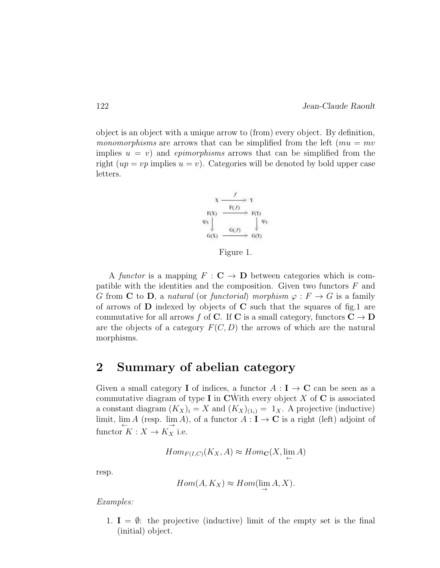object is an object with a unique arrow to (from) every object. By definition, *monomorphisms* are arrows that can be simplified from the left ( $mu = mv$ ) implies  $u = v$ ) and *epimorphisms* arrows that can be simplified from the right  $(up = vp$  implies  $u = v$ ). Categories will be denoted by bold upper case letters.



Figure 1.

A *functor* is a mapping  $F : \mathbf{C} \to \mathbf{D}$  between categories which is compatible with the identities and the composition. Given two functors  $F$  and G from C to D, a *natural* (or *functorial*) morphism  $\varphi : F \to G$  is a family of arrows of  $D$  indexed by objects of  $C$  such that the squares of fig.1 are commutative for all arrows f of C. If C is a small category, functors  $C \to D$ are the objects of a category  $F(C, D)$  the arrows of which are the natural morphisms.

### 2 Summary of abelian category

Given a small category **I** of indices, a functor  $A: I \rightarrow \mathbb{C}$  can be seen as a commutative diagram of type I in CWith every object  $X$  of C is associated a constant diagram  $(K_X)_i = X$  and  $(K_X)_{(1_i)} = 1_X$ . A projective (inductive) limit,  $\lim_{\leftarrow} A$  (resp.  $\lim_{\rightarrow} A$ ), of a functor  $A: I \to \mathbf{C}$  is a right (left) adjoint of functor  $K : X \to K_X^{\rightarrow}$  i.e.

$$
Hom_{F(I,C)}(K_X, A) \approx Hom_{\mathbf{C}}(X, \lim_{\leftarrow} A)
$$

resp.

$$
Hom(A, K_X) \approx Hom(\lim_{\rightarrow} A, X).
$$

*Examples:*

1.  $I = \emptyset$ : the projective (inductive) limit of the empty set is the final (initial) object.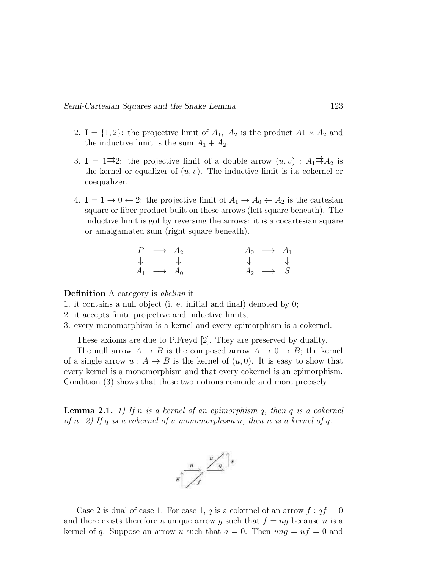#### Semi-Cartesian Squares and the Snake Lemma 123

- 2.  $I = \{1, 2\}$ : the projective limit of  $A_1$ ,  $A_2$  is the product  $A_1 \times A_2$  and the inductive limit is the sum  $A_1 + A_2$ .
- 3. **I** = 1<sup> $\Rightarrow$ </sup>2: the projective limit of a double arrow  $(u, v)$  :  $A_1 \Rightarrow A_2$  is the kernel or equalizer of  $(u, v)$ . The inductive limit is its cokernel or coequalizer.
- 4.  $I = 1 \rightarrow 0 \leftarrow 2$ : the projective limit of  $A_1 \rightarrow A_0 \leftarrow A_2$  is the cartesian square or fiber product built on these arrows (left square beneath). The inductive limit is got by reversing the arrows: it is a cocartesian square or amalgamated sum (right square beneath).

| $P \longrightarrow A_2$   | $A_0 \rightarrow A_1$     |  |
|---------------------------|---------------------------|--|
| $\downarrow$              | $\downarrow$ $\downarrow$ |  |
| $A_1 \longrightarrow A_0$ | $A_2 \longrightarrow S$   |  |

Definition A category is *abelian* if

- 1. it contains a null object (i. e. initial and final) denoted by 0;
- 2. it accepts finite projective and inductive limits;
- 3. every monomorphism is a kernel and every epimorphism is a cokernel.

These axioms are due to P.Freyd [2]. They are preserved by duality.

The null arrow  $A \to B$  is the composed arrow  $A \to 0 \to B$ ; the kernel of a single arrow  $u : A \to B$  is the kernel of  $(u, 0)$ . It is easy to show that every kernel is a monomorphism and that every cokernel is an epimorphism. Condition (3) shows that these two notions coincide and more precisely:

Lemma 2.1. *1) If* n *is a kernel of an epimorphism* q*, then* q *is a cokernel of* n*. 2) If* q *is a cokernel of a monomorphism* n*, then* n *is a kernel of* q*.*



Case 2 is dual of case 1. For case 1, q is a cokernel of an arrow  $f : qf = 0$ and there exists therefore a unique arrow q such that  $f = nq$  because n is a kernel of q. Suppose an arrow u such that  $a = 0$ . Then  $ung = uf = 0$  and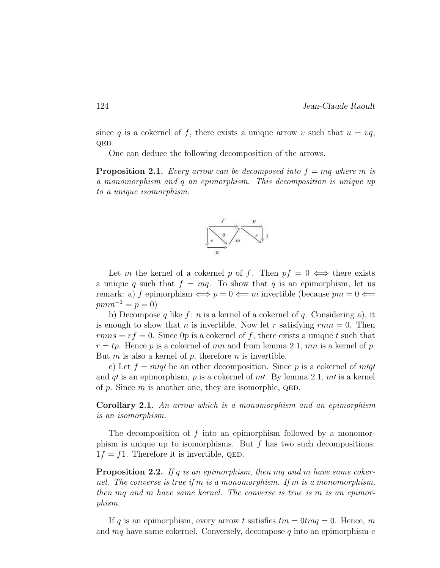since q is a cokernel of f, there exists a unique arrow v such that  $u = vq$ , QED.

One can deduce the following decomposition of the arrows.

**Proposition 2.1.** *Every arrow can be decomposed into*  $f = mq$  *where* m *is a monomorphism and* q *an epimorphism. This decomposition is unique up to a unique isomorphism.*



Let m the kernel of a cokernel p of f. Then  $pf = 0 \iff$  there exists a unique q such that  $f = mq$ . To show that q is an epimorphism, let us remark: a) f epimorphism  $\iff p = 0 \iff m$  invertible (because  $pm = 0 \iff$  $pmm^{-1} = p = 0$ 

b) Decompose q like  $f: n$  is a kernel of a cokernel of q. Considering a), it is enough to show that n is invertible. Now let r satisfying  $rmn = 0$ . Then  $rms = rf = 0$ . Since 0p is a cokernel of f, there exists a unique t such that  $r = tp$ . Hence p is a cokernel of mn and from lemma 2.1, mn is a kernel of p. But  $m$  is also a kernel of  $p$ , therefore  $n$  is invertible.

c) Let  $f = m/q'$  be an other decomposition. Since p is a cokernel of  $m/q'$ and q' is an epimorphism, p is a cokernel of m'. By lemma 2.1,  $m'$  is a kernel of p. Since m is another one, they are isomorphic,  $QED$ .

Corollary 2.1. *An arrow which is a monomorphism and an epimorphism is an isomorphism.*

The decomposition of  $f$  into an epimorphism followed by a monomorphism is unique up to isomorphisms. But  $f$  has two such decompositions:  $1f = f1$ . Therefore it is invertible, QED.

Proposition 2.2. *If* q *is an epimorphism, then* mq *and* m *have same cokernel. The converse is true if* m *is a monomorphism. If* m *is a monomorphism, then* mq *and* m *have same kernel. The converse is true is* m *is an epimorphism.*

If q is an epimorphism, every arrow t satisfies  $tm = 0$ tm $q = 0$ . Hence, m and  $mq$  have same cokernel. Conversely, decompose q into an epimorphism e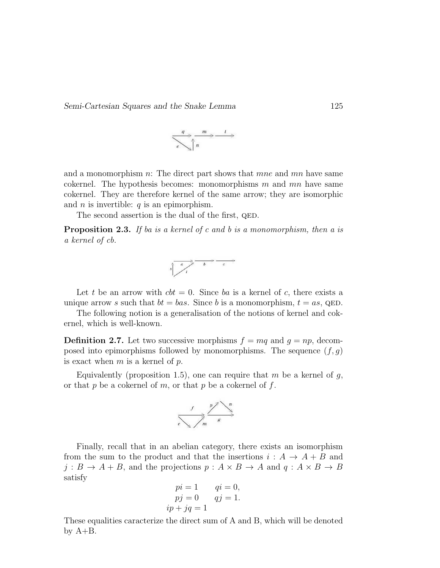

and a monomorphism  $n$ : The direct part shows that *mne* and  $mn$  have same cokernel. The hypothesis becomes: monomorphisms  $m$  and  $mn$  have same cokernel. They are therefore kernel of the same arrow; they are isomorphic and  $n$  is invertible:  $q$  is an epimorphism.

The second assertion is the dual of the first, QED.

Proposition 2.3. *If ba is a kernel of c and b is a monomorphism, then a is a kernel of cb.*



Let t be an arrow with  $cbt = 0$ . Since ba is a kernel of c, there exists a unique arrow s such that  $bt = bas$ . Since b is a monomorphism,  $t = as$ , QED.

The following notion is a generalisation of the notions of kernel and cokernel, which is well-known.

**Definition 2.7.** Let two successive morphisms  $f = mq$  and  $g = np$ , decomposed into epimorphisms followed by monomorphisms. The sequence  $(f, g)$ is exact when  $m$  is a kernel of  $p$ .

Equivalently (proposition 1.5), one can require that m be a kernel of  $q$ , or that  $p$  be a cokernel of  $m$ , or that  $p$  be a cokernel of  $f$ .



Finally, recall that in an abelian category, there exists an isomorphism from the sum to the product and that the insertions  $i : A \rightarrow A + B$  and  $j: B \to A + B$ , and the projections  $p: A \times B \to A$  and  $q: A \times B \to B$ satisfy

$$
pi = 1
$$
  
\n
$$
pi = 0
$$
  
\n
$$
pi = 0
$$
  
\n
$$
pi = 1
$$
  
\n
$$
ip + jq = 1
$$

These equalities caracterize the direct sum of A and B, which will be denoted by  $A+B$ .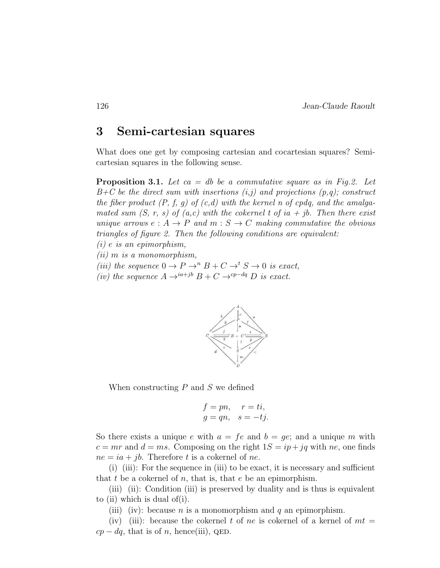# 3 Semi-cartesian squares

What does one get by composing cartesian and cocartesian squares? Semicartesian squares in the following sense.

Proposition 3.1. *Let ca = db be a commutative square as in Fig.2. Let B+C be the direct sum with insertions (i,j) and projections (p,q); construct the fiber product (P, f, g) of (c,d) with the kernel n of cpdq, and the amalgamated sum*  $(S, r, s)$  *of*  $(a, c)$  *with the cokernel t of ia + jb. Then there exist unique arrows*  $e: A \to P$  *and*  $m: S \to C$  *making commutative the obvious triangles of figure 2. Then the following conditions are equivalent:*

*(i)* e *is an epimorphism,*

*(ii)* m *is a monomorphism,*

*(iii) the sequence*  $0 \to P \to P B + C \to S \to 0$  *is exact,* 

*(iv) the sequence*  $A \rightarrow^{ia+jb} B + C \rightarrow^{cp-dq} D$  *is exact.* 



When constructing  $P$  and  $S$  we defined

$$
f = pn, \quad r = ti,
$$
  

$$
g = qn, \quad s = -tj.
$$

So there exists a unique e with  $a = fe$  and  $b = ge$ ; and a unique m with  $c = mr$  and  $d = ms$ . Composing on the right  $1S = ip + jq$  with ne, one finds  $ne = ia + jb$ . Therefore t is a cokernel of ne.

(i) (iii): For the sequence in (iii) to be exact, it is necessary and sufficient that t be a cokernel of n, that is, that e be an epimorphism.

(iii) (ii): Condition (iii) is preserved by duality and is thus is equivalent to (ii) which is dual of(i).

(iii) (iv): because *n* is a monomorphism and *q* an epimorphism.

(iv) (iii): because the cokernel t of ne is cokernel of a kernel of  $mt =$  $cp - dq$ , that is of n, hence(iii), QED.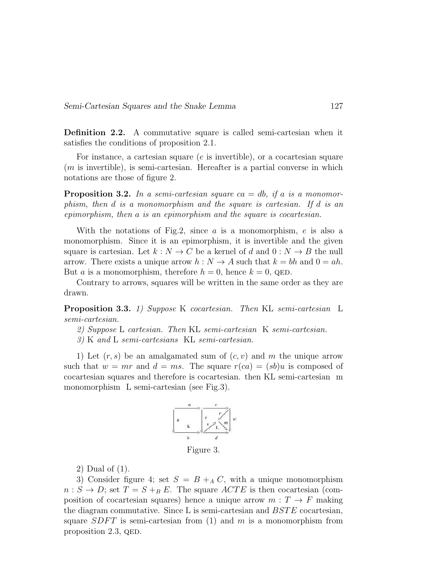Definition 2.2. A commutative square is called semi-cartesian when it satisfies the conditions of proposition 2.1.

For instance, a cartesian square (e is invertible), or a cocartesian square  $(m \text{ is invertible})$ , is semi-cartesian. Hereafter is a partial converse in which notations are those of figure 2.

Proposition 3.2. *In a semi-cartesian square* ca = db*, if* a *is a monomorphism, then* d *is a monomorphism and the square is cartesian. If* d *is an epimorphism, then* a *is an epimorphism and the square is cocartesian.*

With the notations of Fig.2, since  $a$  is a monomorphism,  $e$  is also a monomorphism. Since it is an epimorphism, it is invertible and the given square is cartesian. Let  $k : N \to C$  be a kernel of d and  $0 : N \to B$  the null arrow. There exists a unique arrow  $h: N \to A$  such that  $k = bh$  and  $0 = ah$ . But a is a monomorphism, therefore  $h = 0$ , hence  $k = 0$ , QED.

Contrary to arrows, squares will be written in the same order as they are drawn.

Proposition 3.3. *1) Suppose* K *cocartesian. Then* KL *semi-cartesian* L *semi-cartesian.*

*2) Suppose* L *cartesian. Then* KL *semi-cartesian* K *semi-cartesian.*

*3)* K *and* L *semi-cartesians* KL *semi-cartesian.*

1) Let  $(r, s)$  be an amalgamated sum of  $(c, v)$  and m the unique arrow such that  $w = mr$  and  $d = ms$ . The square  $r(ca) = (sb)u$  is composed of cocartesian squares and therefore is cocartesian. then KL semi-cartesian m monomorphism L semi-cartesian (see Fig.3).



2) Dual of (1).

3) Consider figure 4; set  $S = B + _{A} C$ , with a unique monomorphism  $n: S \to D$ ; set  $T = S + _B E$ . The square  $ACTE$  is then cocartesian (composition of cocartesian squares) hence a unique arrow  $m: T \to F$  making the diagram commutative. Since  $L$  is semi-cartesian and  $BSTE$  cocartesian, square  $SDFT$  is semi-cartesian from (1) and m is a monomorphism from proposition 2.3, QED.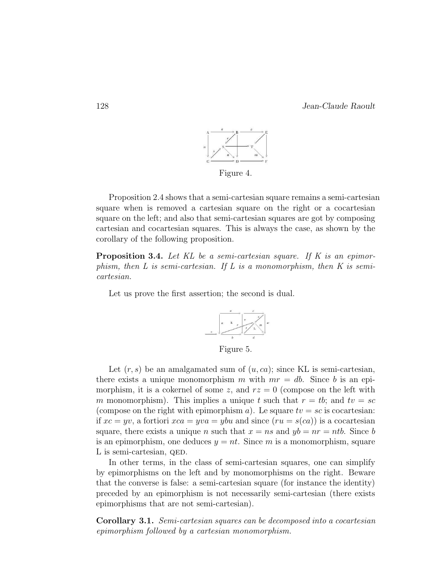

Proposition 2.4 shows that a semi-cartesian square remains a semi-cartesian square when is removed a cartesian square on the right or a cocartesian square on the left; and also that semi-cartesian squares are got by composing cartesian and cocartesian squares. This is always the case, as shown by the corollary of the following proposition.

Proposition 3.4. *Let KL be a semi-cartesian square. If K is an epimorphism, then L is semi-cartesian. If L is a monomorphism, then K is semicartesian.*

Let us prove the first assertion; the second is dual.



Figure 5.

Let  $(r, s)$  be an amalgamated sum of  $(u, ca)$ ; since KL is semi-cartesian, there exists a unique monomorphism m with  $mr = db$ . Since b is an epimorphism, it is a cokernel of some z, and  $rz = 0$  (compose on the left with m monomorphism). This implies a unique t such that  $r = tb$ ; and  $tv = sc$ (compose on the right with epimorphism a). Le square  $tv = sc$  is cocartesian: if  $xc = yv$ , a fortiori  $xca = yva = ybu$  and since  $(ru = s(ca))$  is a cocartesian square, there exists a unique n such that  $x = ns$  and  $yb = nr = nth$ . Since b is an epimorphism, one deduces  $y = nt$ . Since m is a monomorphism, square L is semi-cartesian, QED.

In other terms, in the class of semi-cartesian squares, one can simplify by epimorphisms on the left and by monomorphisms on the right. Beware that the converse is false: a semi-cartesian square (for instance the identity) preceded by an epimorphism is not necessarily semi-cartesian (there exists epimorphisms that are not semi-cartesian).

Corollary 3.1. *Semi-cartesian squares can be decomposed into a cocartesian epimorphism followed by a cartesian monomorphism.*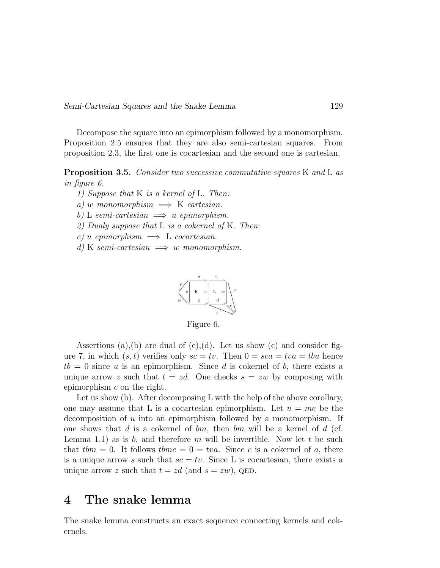Decompose the square into an epimorphism followed by a monomorphism. Proposition 2.5 ensures that they are also semi-cartesian squares. From proposition 2.3, the first one is cocartesian and the second one is cartesian.

Proposition 3.5. *Consider two successive commutative squares* K *and* L *as in figure 6.*

*1) Suppose that* K *is a kernel of* L*. Then:*

 $a)$  w monomorphism  $\implies$  K *cartesian*.

 $b)$  L *semi-cartesian*  $\implies u$  *epimorphism.* 

*2) Dualy suppose that* L *is a cokernel of* K*. Then:*

 $c)$  *u epimorphism*  $\implies$  L *cocartesian.* 

*d*) K *semi-cartesian*  $\implies$  *w monomorphism.* 



Figure 6.

Assertions (a),(b) are dual of  $(c)$ ,(d). Let us show  $(c)$  and consider figure 7, in which  $(s, t)$  verifies only  $sc = tv$ . Then  $0 = sca = tw = tbu$  hence  $tb = 0$  since u is an epimorphism. Since d is cokernel of b, there exists a unique arrow z such that  $t = zd$ . One checks  $s = zw$  by composing with epimorphism c on the right.

Let us show (b). After decomposing L with the help of the above corollary, one may assume that L is a cocartesian epimorphism. Let  $u = me$  be the decomposition of  $u$  into an epimorphism followed by a monomorphism. If one shows that d is a cokernel of  $bm$ , then  $bm$  will be a kernel of d (cf. Lemma 1.1) as is b, and therefore m will be invertible. Now let t be such that  $t \, \text{bm} = 0$ . It follows  $t \, \text{bm} = 0 = t \, \text{bm}$ . Since c is a cokernel of a, there is a unique arrow s such that  $sc = tv$ . Since L is cocartesian, there exists a unique arrow z such that  $t = zd$  (and  $s = zw$ ), QED.

# 4 The snake lemma

The snake lemma constructs an exact sequence connecting kernels and cokernels.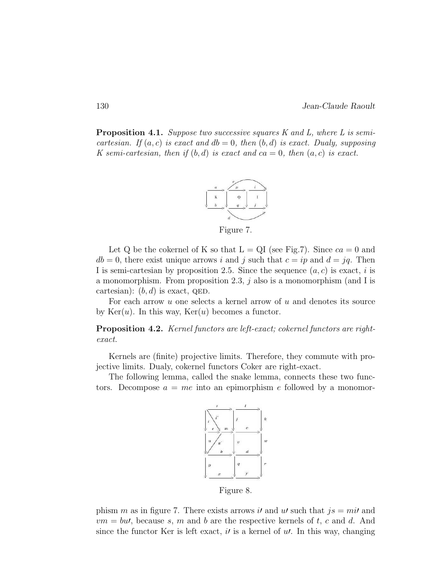Proposition 4.1. *Suppose two successive squares K and L, where L is semicartesian.* If  $(a, c)$  *is exact and*  $db = 0$ *, then*  $(b, d)$  *is exact. Dualy, supposing K* semi-cartesian, then if  $(b, d)$  is exact and  $ca = 0$ , then  $(a, c)$  is exact.



Figure 7.

Let Q be the cokernel of K so that  $L = QI$  (see Fig.7). Since  $ca = 0$  and  $db = 0$ , there exist unique arrows i and j such that  $c = ip$  and  $d = jq$ . Then I is semi-cartesian by proposition 2.5. Since the sequence  $(a, c)$  is exact, i is a monomorphism. From proposition 2.3,  $j$  also is a monomorphism (and I is cartesian):  $(b, d)$  is exact, QED.

For each arrow  $u$  one selects a kernel arrow of  $u$  and denotes its source by  $Ker(u)$ . In this way,  $Ker(u)$  becomes a functor.

Proposition 4.2. *Kernel functors are left-exact; cokernel functors are rightexact.*

Kernels are (finite) projective limits. Therefore, they commute with projective limits. Dualy, cokernel functors Coker are right-exact.

The following lemma, called the snake lemma, connects these two functors. Decompose  $a = me$  into an epimorphism e followed by a monomor-



Figure 8.

phism m as in figure 7. There exists arrows it and ut such that  $js = mi'$  and  $vm = bu'$ , because s, m and b are the respective kernels of t, c and d. And since the functor Ker is left exact,  $i<sub>l</sub>$  is a kernel of  $u<sub>l</sub>$ . In this way, changing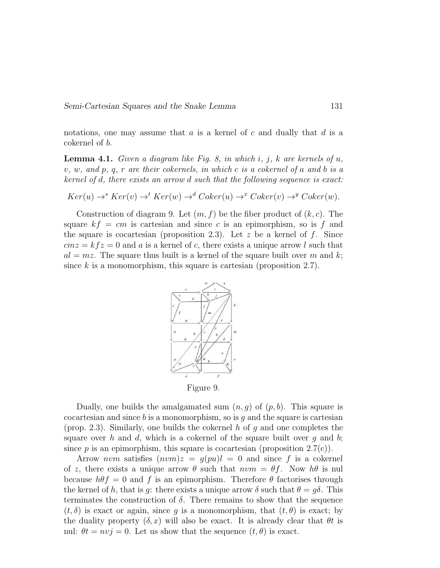notations, one may assume that  $a$  is a kernel of  $c$  and dually that  $d$  is a cokernel of b.

Lemma 4.1. *Given a diagram like Fig. 8, in which* i*,* j*,* k *are kernels of* u*,* v*,* w*, and* p*,* q*,* r *are their cokernels, in which* c *is a cokernel of* a *and* b *is a kernel of* d*, there exists an arrow* d *such that the following sequence is exact:*

$$
Ker(u) \rightarrow^s Ker(v) \rightarrow^t Ker(w) \rightarrow^d Coker(u) \rightarrow^x Coker(v) \rightarrow^y Coker(w).
$$

Construction of diagram 9. Let  $(m, f)$  be the fiber product of  $(k, c)$ . The square  $kf = cm$  is cartesian and since c is an epimorphism, so is f and the square is cocartesian (proposition 2.3). Let  $z$  be a kernel of  $f$ . Since  $cmz = kfz = 0$  and a is a kernel of c, there exists a unique arrow l such that  $al = mz$ . The square thus built is a kernel of the square built over m and k; since  $k$  is a monomorphism, this square is cartesian (proposition 2.7).



Figure 9.

Dually, one builds the amalgamated sum  $(n, q)$  of  $(p, b)$ . This square is cocartesian and since  $b$  is a monomorphism, so is  $g$  and the square is cartesian (prop. 2.3). Similarly, one builds the cokernel h of g and one completes the square over h and d, which is a cokernel of the square built over q and b; since p is an epimorphism, this square is cocartesian (proposition  $2.7(c)$ ).

Arrow nvm satisfies  $(nvm)z = g(pu)l = 0$  and since f is a cokernel of z, there exists a unique arrow  $\theta$  such that  $nvm = \theta f$ . Now  $h\theta$  is nul because  $h\theta f = 0$  and f is an epimorphism. Therefore  $\theta$  factorises through the kernel of h, that is g: there exists a unique arrow  $\delta$  such that  $\theta = q\delta$ . This terminates the construction of  $\delta$ . There remains to show that the sequence  $(t, \delta)$  is exact or again, since g is a monomorphism, that  $(t, \theta)$  is exact; by the duality property  $(\delta, x)$  will also be exact. It is already clear that  $\theta t$  is nul:  $\theta t = n v j = 0$ . Let us show that the sequence  $(t, \theta)$  is exact.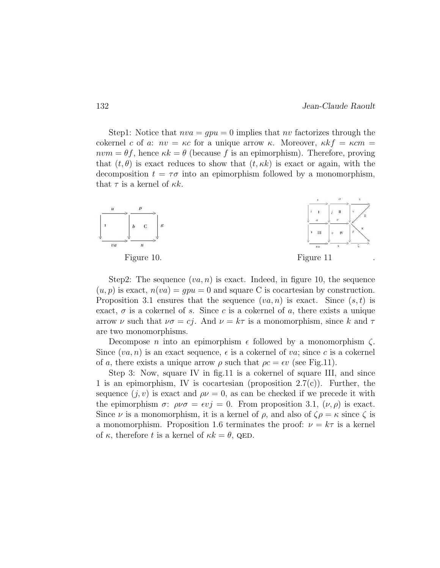Step1: Notice that  $nva = qpu = 0$  implies that nv factorizes through the cokernel c of a:  $nv = \kappa c$  for a unique arrow  $\kappa$ . Moreover,  $\kappa k f = \kappa c m$  $nvm = \theta f$ , hence  $\kappa k = \theta$  (because f is an epimorphism). Therefore, proving that  $(t, \theta)$  is exact reduces to show that  $(t, \kappa k)$  is exact or again, with the decomposition  $t = \tau \sigma$  into an epimorphism followed by a monomorphism, that  $\tau$  is a kernel of  $\kappa k$ .



Step2: The sequence  $(va, n)$  is exact. Indeed, in figure 10, the sequence  $(u, p)$  is exact,  $n(va) = qpu = 0$  and square C is cocartesian by construction. Proposition 3.1 ensures that the sequence  $(va, n)$  is exact. Since  $(s, t)$  is exact,  $\sigma$  is a cokernel of s. Since c is a cokernel of a, there exists a unique arrow  $\nu$  such that  $\nu\sigma = cj$ . And  $\nu = k\tau$  is a monomorphism, since k and  $\tau$ are two monomorphisms.

Decompose *n* into an epimorphism  $\epsilon$  followed by a monomorphism  $\zeta$ . Since  $(va, n)$  is an exact sequence,  $\epsilon$  is a cokernel of va; since c is a cokernel of a, there exists a unique arrow  $\rho$  such that  $\rho c = \epsilon v$  (see Fig.11).

Step 3: Now, square IV in fig.11 is a cokernel of square III, and since 1 is an epimorphism, IV is cocartesian (proposition 2.7(c)). Further, the sequence  $(j, v)$  is exact and  $\rho \nu = 0$ , as can be checked if we precede it with the epimorphism  $\sigma: \rho \nu \sigma = \epsilon \nu j = 0$ . From proposition 3.1,  $(\nu, \rho)$  is exact. Since  $\nu$  is a monomorphism, it is a kernel of  $\rho$ , and also of  $\zeta \rho = \kappa$  since  $\zeta$  is a monomorphism. Proposition 1.6 terminates the proof:  $\nu = k\tau$  is a kernel of  $\kappa$ , therefore t is a kernel of  $\kappa k = \theta$ , QED.